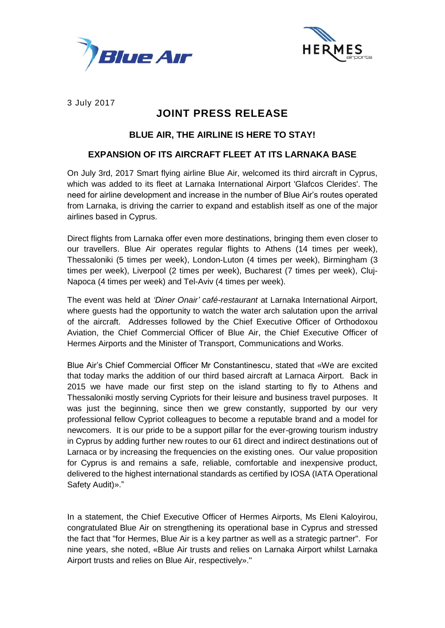



3 July 2017

# **JOINT PRESS RELEASE**

## **BLUE AIR, THE AIRLINE IS HERE TO STAY!**

### **EXPANSION OF ITS AIRCRAFT FLEET AT ITS LARNAKA BASE**

On July 3rd, 2017 Smart flying airline Blue Air, welcomed its third aircraft in Cyprus, which was added to its fleet at Larnaka International Airport 'Glafcos Clerides'. The need for airline development and increase in the number of Blue Air's routes operated from Larnaka, is driving the carrier to expand and establish itself as one of the major airlines based in Cyprus.

Direct flights from Larnaka offer even more destinations, bringing them even closer to our travellers. Blue Air operates regular flights to Athens (14 times per week), Thessaloniki (5 times per week), London-Luton (4 times per week), Birmingham (3 times per week), Liverpool (2 times per week), Bucharest (7 times per week), Cluj-Napoca (4 times per week) and Tel-Aviv (4 times per week).

The event was held at *'Diner Onair' café-restaurant* at Larnaka International Airport, where guests had the opportunity to watch the water arch salutation upon the arrival of the aircraft. Addresses followed by the Chief Executive Officer of Orthodoxou Aviation, the Chief Commercial Officer of Blue Air, the Chief Executive Officer of Hermes Airports and the Minister of Transport, Communications and Works.

Blue Air's Chief Commercial Officer Mr Constantinescu, stated that «We are excited that today marks the addition of our third based aircraft at Larnaca Airport. Back in 2015 we have made our first step on the island starting to fly to Athens and Thessaloniki mostly serving Cypriots for their leisure and business travel purposes. It was just the beginning, since then we grew constantly, supported by our very professional fellow Cypriot colleagues to become a reputable brand and a model for newcomers. It is our pride to be a support pillar for the ever-growing tourism industry in Cyprus by adding further new routes to our 61 direct and indirect destinations out of Larnaca or by increasing the frequencies on the existing ones. Our value proposition for Cyprus is and remains a safe, reliable, comfortable and inexpensive product, delivered to the highest international standards as certified by IOSA (IATA Operational Safety Audit)»."

In a statement, the Chief Executive Officer of Hermes Airports, Ms Eleni Kaloyirou, congratulated Blue Air on strengthening its operational base in Cyprus and stressed the fact that "for Hermes, Blue Air is a key partner as well as a strategic partner". For nine years, she noted, «Blue Air trusts and relies on Larnaka Airport whilst Larnaka Airport trusts and relies on Blue Air, respectively»."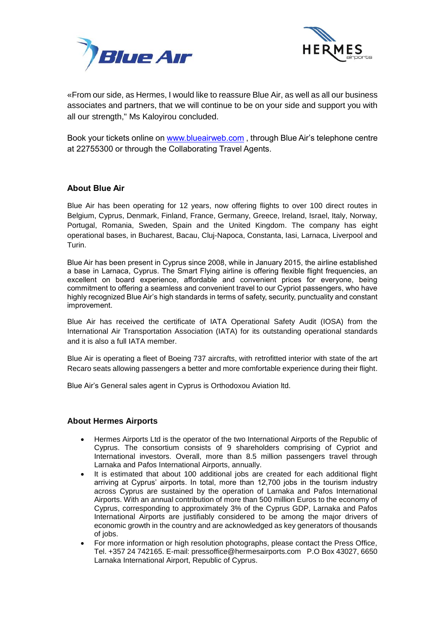



«From our side, as Hermes, I would like to reassure Blue Air, as well as all our business associates and partners, that we will continue to be on your side and support you with all our strength," Ms Kaloyirou concluded.

Book your tickets online on [www.blueairweb.com](http://www.blueairweb.com/) , through Blue Air's telephone centre at 22755300 or through the Collaborating Travel Agents.

### **About Blue Air**

Blue Air has been operating for 12 years, now offering flights to over 100 direct routes in Belgium, Cyprus, Denmark, Finland, France, Germany, Greece, Ireland, Israel, Italy, Norway, Portugal, Romania, Sweden, Spain and the United Kingdom. The company has eight operational bases, in Bucharest, Bacau, Cluj-Napoca, Constanta, Iasi, Larnaca, Liverpool and Turin.

Blue Air has been present in Cyprus since 2008, while in January 2015, the airline established a base in Larnaca, Cyprus. The Smart Flying airline is offering flexible flight frequencies, an excellent on board experience, affordable and convenient prices for everyone, being commitment to offering a seamless and convenient travel to our Cypriot passengers, who have highly recognized Blue Air's high standards in terms of safety, security, punctuality and constant improvement.

Blue Air has received the certificate of IATA Operational Safety Audit (IOSA) from the International Air Transportation Association (IATA) for its outstanding operational standards and it is also a full IATA member.

Blue Air is operating a fleet of Boeing 737 aircrafts, with retrofitted interior with state of the art Recaro seats allowing passengers a better and more comfortable experience during their flight.

Blue Air's General sales agent in Cyprus is Orthodoxou Aviation ltd.

### **About Hermes Airports**

- Hermes Airports Ltd is the operator of the two International Airports of the Republic of Cyprus. The consortium consists of 9 shareholders comprising of Cypriot and International investors. Overall, more than 8.5 million passengers travel through Larnaka and Pafos International Airports, annually.
- It is estimated that about 100 additional jobs are created for each additional flight arriving at Cyprus' airports. In total, more than 12,700 jobs in the tourism industry across Cyprus are sustained by the operation of Larnaka and Pafos International Airports. With an annual contribution of more than 500 million Euros to the economy of Cyprus, corresponding to approximately 3% of the Cyprus GDP, Larnaka and Pafos International Airports are justifiably considered to be among the major drivers of economic growth in the country and are acknowledged as key generators of thousands of jobs.
- For more information or high resolution photographs, please contact the Press Office, Tel. +357 24 742165. E-mail: pressoffice@hermesairports.com P.O Box 43027, 6650 Larnaka International Airport, Republic of Cyprus.